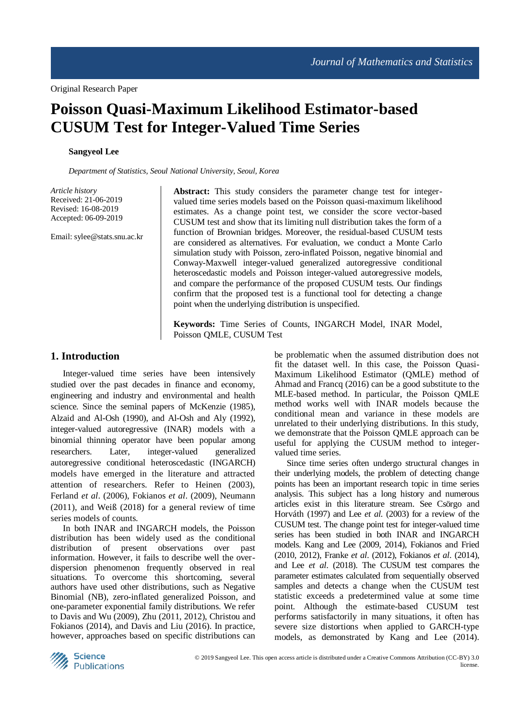# **Poisson Quasi-Maximum Likelihood Estimator-based CUSUM Test for Integer-Valued Time Series**

#### **Sangyeol Lee**

*Department of Statistics, Seoul National University, Seoul, Korea*

*Article history* Received: 21-06-2019 Revised: 16-08-2019 Accepted: 06-09-2019

Email: sylee@stats.snu.ac.kr

**Abstract:** This study considers the parameter change test for integervalued time series models based on the Poisson quasi-maximum likelihood estimates. As a change point test, we consider the score vector-based CUSUM test and show that its limiting null distribution takes the form of a function of Brownian bridges. Moreover, the residual-based CUSUM tests are considered as alternatives. For evaluation, we conduct a Monte Carlo simulation study with Poisson, zero-inflated Poisson, negative binomial and Conway-Maxwell integer-valued generalized autoregressive conditional heteroscedastic models and Poisson integer-valued autoregressive models, and compare the performance of the proposed CUSUM tests. Our findings confirm that the proposed test is a functional tool for detecting a change point when the underlying distribution is unspecified.

**Keywords:** Time Series of Counts, INGARCH Model, INAR Model, Poisson QMLE, CUSUM Test

## **1. Introduction**

Integer-valued time series have been intensively studied over the past decades in finance and economy, engineering and industry and environmental and health science. Since the seminal papers of McKenzie (1985), Alzaid and Al-Osh (1990), and Al-Osh and Aly (1992), integer-valued autoregressive (INAR) models with a binomial thinning operator have been popular among researchers. Later, integer-valued generalized autoregressive conditional heteroscedastic (INGARCH) models have emerged in the literature and attracted attention of researchers. Refer to Heinen (2003), Ferland *et al*. (2006), Fokianos *et al*. (2009), Neumann (2011), and Weiß (2018) for a general review of time series models of counts.

In both INAR and INGARCH models, the Poisson distribution has been widely used as the conditional distribution of present observations over past information. However, it fails to describe well the overdispersion phenomenon frequently observed in real situations. To overcome this shortcoming, several authors have used other distributions, such as Negative Binomial (NB), zero-inflated generalized Poisson, and one-parameter exponential family distributions. We refer to Davis and Wu (2009), Zhu (2011, 2012), Christou and Fokianos (2014), and Davis and Liu (2016). In practice, however, approaches based on specific distributions can be problematic when the assumed distribution does not fit the dataset well. In this case, the Poisson Quasi-Maximum Likelihood Estimator (QMLE) method of Ahmad and Francq (2016) can be a good substitute to the MLE-based method. In particular, the Poisson QMLE method works well with INAR models because the conditional mean and variance in these models are unrelated to their underlying distributions. In this study, we demonstrate that the Poisson QMLE approach can be useful for applying the CUSUM method to integervalued time series.

Since time series often undergo structural changes in their underlying models, the problem of detecting change points has been an important research topic in time series analysis. This subject has a long history and numerous articles exist in this literature stream. See Csörgo and Horváth (1997) and Lee *et al*. (2003) for a review of the CUSUM test. The change point test for integer-valued time series has been studied in both INAR and INGARCH models. Kang and Lee (2009, 2014), Fokianos and Fried (2010, 2012), Franke *et al*. (2012), Fokianos *et al*. (2014), and Lee *et al*. (2018). The CUSUM test compares the parameter estimates calculated from sequentially observed samples and detects a change when the CUSUM test statistic exceeds a predetermined value at some time point. Although the estimate-based CUSUM test performs satisfactorily in many situations, it often has severe size distortions when applied to GARCH-type models, as demonstrated by Kang and Lee (2014).

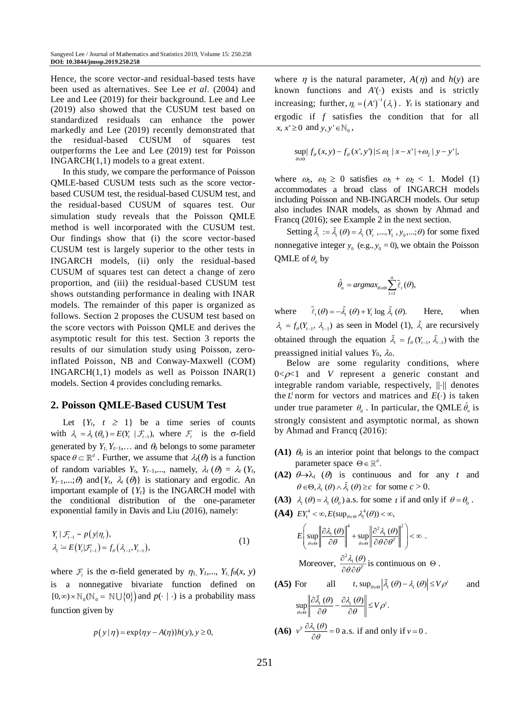Hence, the score vector-and residual-based tests have been used as alternatives. See Lee *et al*. (2004) and Lee and Lee (2019) for their background. Lee and Lee (2019) also showed that the CUSUM test based on standardized residuals can enhance the power markedly and Lee (2019) recently demonstrated that the residual-based CUSUM of squares test outperforms the Lee and Lee (2019) test for Poisson INGARCH(1,1) models to a great extent.

In this study, we compare the performance of Poisson QMLE-based CUSUM tests such as the score vectorbased CUSUM test, the residual-based CUSUM test, and the residual-based CUSUM of squares test. Our simulation study reveals that the Poisson QMLE method is well incorporated with the CUSUM test. Our findings show that (i) the score vector-based CUSUM test is largely superior to the other tests in INGARCH models, (ii) only the residual-based CUSUM of squares test can detect a change of zero proportion, and (iii) the residual-based CUSUM test shows outstanding performance in dealing with INAR models. The remainder of this paper is organized as follows. Section 2 proposes the CUSUM test based on the score vectors with Poisson QMLE and derives the asymptotic result for this test. Section 3 reports the results of our simulation study using Poisson, zeroinflated Poisson, NB and Conway-Maxwell (COM) INGARCH(1,1) models as well as Poisson INAR(1) models. Section 4 provides concluding remarks.

# **2. Poisson QMLE-Based CUSUM Test**

Let  $\{Y_t, t \geq 1\}$  be a time series of counts with  $\lambda_i = \lambda_i (\theta_0) = E(Y_i | \mathcal{F}_{i-1})$ , where  $\mathcal{F}_i$  is the  $\sigma$ -field generated by  $Y_t$ ,  $Y_{t-1}$ ,... and  $\theta_0$  belongs to some parameter space  $\theta \subset \mathbb{R}^d$ . Further, we assume that  $\lambda_i(\theta)$  is a function of random variables  $Y_t$ ,  $Y_{t-1}$ ,..., namely,  $\lambda_t$  ( $\theta$ ) =  $\lambda_t$  ( $Y_t$ ,  $Y_{t-1}, \ldots; \theta$  and {*Y<sub>t</sub>*,  $\lambda_t$  ( $\theta$ )} is stationary and ergodic. An important example of  ${Y_t}$  is the INGARCH model with the conditional distribution of the one-parameter exponential family in Davis and Liu (2016), namely:

$$
Y_{t} | \mathcal{F}_{t-1} \sim p(y|\eta_{t}),
$$
  
\n
$$
\lambda_{t} \coloneqq E(Y_{t} | \mathcal{F}_{t-1}) = f_{\theta}(\lambda_{t-1}, Y_{t-1}),
$$
\n(1)

where  $\mathcal{F}_t$  is the  $\sigma$ -field generated by  $\eta_1$ ,  $Y_t$ ,...,  $Y_t$ ,  $f_{\theta}(x, y)$ is a nonnegative bivariate function defined on  $[0, \infty) \times \mathbb{N}_0(\mathbb{N}_0 = \mathbb{N} \cup \{0\})$  and  $p(\cdot | \cdot)$  is a probability mass function given by

$$
p(y | \eta) = \exp{\{\eta y - A(\eta)\}h(y), y \ge 0},
$$

where *n* is the natural parameter,  $A(n)$  and  $h(v)$  are known functions and *A*'() exists and is strictly increasing; further,  $\eta_t = (A^t)^{-1}(\lambda_t)$ .  $Y_t$  is stationary and ergodic if *f* satisfies the condition that for all  $x, x' \geq 0$  and  $y, y' \in \mathbb{N}_0$ ,

$$
\sup_{\theta \in \Theta} |f_{\theta}(x, y) - f_{\theta}(x', y')| \leq \omega_1 |x - x'| + \omega_2 |y - y'|,
$$

where  $\omega_1$ ,  $\omega_2 \geq 0$  satisfies  $\omega_1 + \omega_2 < 1$ . Model (1) accommodates a broad class of INGARCH models including Poisson and NB-INGARCH models. Our setup also includes INAR models, as shown by Ahmad and Francq (2016); see Example 2 in the next section.

Setting  $\tilde{\lambda}_t := \tilde{\lambda}_t (\theta) = \lambda_t (Y_t, ..., Y_1, y_0, ..., \theta)$  for some fixed nonnegative integer  $y_0$  (e.g.,  $y_0 = 0$ ), we obtain the Poisson QMLE of  $\theta_0$  by

$$
\hat{\theta}_n = \operatorname{argmax}_{\theta \in \Theta} \sum_{t=1}^n \tilde{\ell}_t(\theta),
$$

where  $\tilde{\ell}_{\tau}(\theta) = -\tilde{\lambda}_{\tau}(\theta) + Y_{\tau} \log \tilde{\lambda}_{\tau}(\theta).$ Here, when  $\lambda_t = f_\theta(Y_{t-1}, \lambda_{t-1})$  as seen in Model (1),  $\tilde{\lambda}_t$  are recursively obtained through the equation  $\tilde{\lambda}_t = f_{\theta}(Y_{t-1}, \tilde{\lambda}_{t-1})$  with the preassigned initial values  $Y_0$ ,  $\lambda_0$ .

Below are some regularity conditions, where  $0 < \rho < 1$  and *V* represent a generic constant and integrable random variable, respectively,  $\|\cdot\|$  denotes the  $L^1$  norm for vectors and matrices and  $E(\cdot)$  is taken under true parameter  $\theta_0$ . In particular, the QMLE  $\hat{\theta}_n$  is strongly consistent and asymptotic normal, as shown by Ahmad and Francq (2016):

- **(A1)**  $\theta_0$  is an interior point that belongs to the compact parameter space  $\Theta \in \mathbb{R}^d$ .
- **(A2)**  $\theta \rightarrow \lambda_t$  ( $\theta$ ) is continuous and for any *t* and  $\theta \in \Theta$ ,  $\lambda_t$  ( $\theta$ )  $\wedge$   $\tilde{\lambda}_t$  ( $\theta$ )  $\geq c$  for some  $c > 0$ .
- **(A3)**  $\lambda_t(\theta) = \lambda_t(\theta_0)$  a.s. for some *t* if and only if  $\theta = \theta_0$ .

$$
(\mathbf{A4}) \ \ EY_1^4 < \infty, E(\sup_{\theta \in \Theta} \lambda_1^4(\theta)) < \infty,
$$

$$
E\left(\sup_{\theta\in\Theta}\left\|\frac{\partial \lambda_1(\theta)}{\partial\theta}\right\|^4 + \sup_{\theta\in\Theta}\left\|\frac{\partial^2 \lambda_1(\theta)}{\partial\theta\partial\theta^T}\right\|^2\right) < \infty.
$$

Moreover, 
$$
\frac{\partial \chi_1(\theta)}{\partial \theta \partial \theta^T}
$$
 is continuous on  $\Theta$ .

**(A5)** For all 
$$
t
$$
,  $\sup_{\theta \in \Theta} \left| \tilde{\lambda}_t(\theta) - \lambda_t(\theta) \right| \le V \rho'$  and

$$
\sup_{\theta \in \Theta} \left\| \frac{\partial \tilde{\lambda}_i(\theta)}{\partial \theta} - \frac{\partial \lambda_i(\theta)}{\partial \theta} \right\| \leq V \rho'.
$$

**(A6)** 
$$
v^T \frac{\partial \lambda_1(\theta)}{\partial \theta} = 0
$$
 a.s. if and only if  $v = 0$ .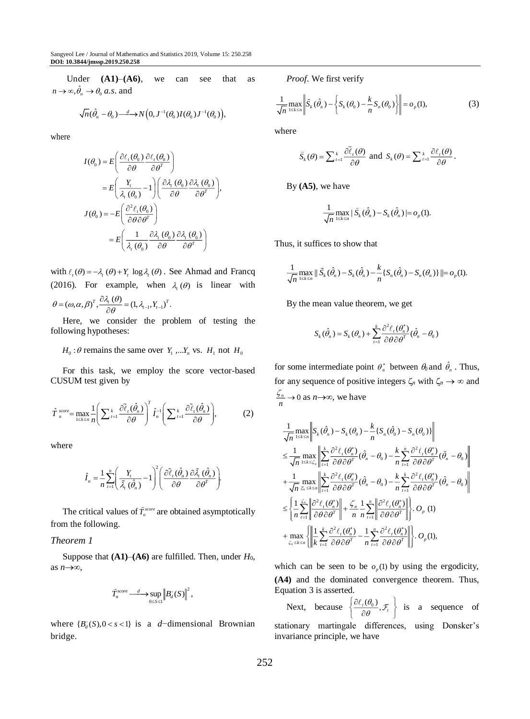Under **(A1)**–**(A6)**, we can see that as  $n \to \infty, \hat{\theta}_n \to \theta_0$  *a.s.* and

$$
\sqrt{n}(\hat{\theta}_n - \theta_0) \stackrel{d}{\longrightarrow} N\Big(0, J^{-1}(\theta_0)I(\theta_0)J^{-1}(\theta_0)\Big),
$$

where

$$
I(\theta_0) = E\left(\frac{\partial \ell_r(\theta_0)}{\partial \theta} \frac{\partial \ell_r(\theta_0)}{\partial \theta^T}\right)
$$
  
\n
$$
= E\left(\frac{Y_t}{\lambda_r(\theta_0)} - 1\right) \left(\frac{\partial \lambda_r(\theta_0)}{\partial \theta} \frac{\partial \lambda_r(\theta_0)}{\partial \theta^T}\right),
$$
  
\n
$$
J(\theta_0) = -E\left(\frac{\partial^2 \ell_r(\theta_0)}{\partial \theta \partial \theta^T}\right)
$$
  
\n
$$
= E\left(\frac{1}{\lambda_r(\theta_0)} \frac{\partial \lambda_r(\theta_0)}{\partial \theta} \frac{\partial \lambda_r(\theta_0)}{\partial \theta^T}\right)
$$

with  $\ell_t(\theta) = -\lambda_t(\theta) + Y_t \log \lambda_t(\theta)$ . See Ahmad and Francq (2016). For example, when  $\lambda_i(\theta)$  is linear with  $\theta = (\omega, \alpha, \beta)^T, \frac{\partial \lambda_i(\theta)}{\partial \theta} = (1, \lambda_{i-1}, Y_{i-1})^T.$  $=(\omega,\alpha,\beta)^{T},\frac{\partial \lambda_{i}(\theta)}{\partial \theta}=$ 

Here, we consider the problem of testing the following hypotheses:

 $H_0: \theta$  remains the same over  $Y_1, \ldots, Y_n$  vs.  $H_1$  not  $H_0$ 

For this task, we employ the score vector-based CUSUM test given by

$$
\hat{T}_{n}^{score} = \max_{1 \leq k \leq n} \frac{1}{n} \left( \sum_{t=1}^{k} \frac{\partial \tilde{\ell}_{t}(\hat{\theta}_{n})}{\partial \theta} \right)^{T} \hat{I}_{n}^{-1} \left( \sum_{t=1}^{k} \frac{\partial \tilde{\ell}_{t}(\hat{\theta}_{n})}{\partial \theta} \right), \tag{2}
$$

where

$$
\hat{I}_n = \frac{1}{n} \sum_{t=1}^n \left( \frac{Y_t}{\tilde{\lambda}_t \left( \hat{\theta}_n \right)} - 1 \right)^2 \left( \frac{\partial \tilde{\ell}_t \left( \hat{\theta}_n \right)}{\partial \theta} \frac{\partial \tilde{\lambda}_t \left( \hat{\theta}_n \right)}{\partial \theta^T} \right).
$$

The critical values of  $\hat{T}_n^{score}$  are obtained asymptotically from the following.

## *Theorem 1*

Suppose that **(A1)***–***(A6)** are fulfilled. Then, under *H*0, as  $n\rightarrow\infty$ ,

$$
\widehat{T}_n^{score} \longrightarrow \sup_{0 \leq S \leq 1} \Big\| B_d^{\circ}(S) \Big\|^2,
$$

where  ${B_d^s(S), 0 < s < 1}$  is a *d*−dimensional Brownian bridge.

*Proof*. We first verify

$$
\frac{1}{\sqrt{n}} \max_{1 \le k \le n} \left\| \tilde{S}_k(\hat{\theta}_n) - \left\{ S_k(\theta_0) - \frac{k}{n} S_n(\theta_0) \right\} \right\| = o_p(1),\tag{3}
$$

where

$$
\widetilde{S}_k(\theta) = \sum_{t=1}^k \frac{\partial \widetilde{\ell}_t(\theta)}{\partial \theta} \text{ and } S_k(\theta) = \sum_{t=1}^k \frac{\partial \ell_t(\theta)}{\partial \theta}.
$$

By **(A5)**, we have

$$
\frac{1}{\sqrt{n}}\max_{1\leq k\leq n}|\tilde{S}_k(\hat{\theta}_n)-S_k(\hat{\theta}_n)|=o_p(1).
$$

Thus, it suffices to show that

$$
\frac{1}{\sqrt{n}}\max_{1\leq k\leq n}\|\tilde{S}_k(\hat{\theta}_n)-S_k(\hat{\theta}_n)-\frac{k}{n}\{S_n(\hat{\theta}_n)-S_n(\theta_n)\}\| = o_p(1).
$$

By the mean value theorem, we get

$$
S_k(\hat{\theta}_n) = S_k(\theta_n) + \sum_{t=1}^k \frac{\partial^2 \ell_t(\theta_n^*)}{\partial \theta \partial \theta^T} (\hat{\theta}_n - \theta_0)
$$

for some intermediate point  $\theta_n^*$  between  $\theta_0$  and  $\hat{\theta}_n$ . Thus, for any sequence of positive integers  $\zeta_n$  with  $\zeta_n \to \infty$  and  $\stackrel{n}{\rightharpoonup} 0$  $\frac{\zeta_n}{n} \to 0$  as  $n \to \infty$ , we have

$$
\begin{split} &\frac{1}{\sqrt{n}}\max_{1\leq k\leq n}\left\|S_{k}(\hat{\theta}_n)-S_{k}(\theta_0)-\frac{k}{n}\{S_{n}(\hat{\theta}_0)-S_{n}(\theta_0)\}\right\|\\ &\leq \frac{1}{\sqrt{n}}\max_{1\leq k\leq \varsigma_n}\left\|\sum_{i=1}^{k}\frac{\partial^2\ell_{i}(\theta_n^*)}{\partial\theta\partial\theta^T}(\hat{\theta}_n-\theta_0)-\frac{k}{n}\sum_{i=1}^{n}\frac{\partial^2\ell_{i}(\theta_n^*)}{\partial\theta\partial\theta^T}(\tilde{\theta}_n-\theta_0)\right\|\\ &+\frac{1}{\sqrt{n}}\max_{\tilde{\varsigma}_n\leq k\leq n}\left\|\sum_{i=1}^{k}\frac{\partial^2\ell_{i}(\theta_n^*)}{\partial\theta\partial\theta^T}(\hat{\theta}_n-\theta_0)-\frac{k}{n}\sum_{i=1}^{k}\frac{\partial^2\ell_{i}(\theta_n^*)}{\partial\theta\partial\theta^T}(\hat{\theta}_n-\theta_0)\right\|\\ &\leq \left\{\frac{1}{n}\sum_{i=1}^{\varsigma_n}\left\|\frac{\partial^2\ell_{i}(\theta_n^*)}{\partial\theta\partial\theta^T}\right\|+\frac{\zeta_n}{n}\frac{1}{n}\sum_{i=1}^{n}\left\|\frac{\partial^2\ell_{i}(\theta_n^*)}{\partial\theta\partial\theta^T}\right\| \right\}.O_p\left(1\right)\\ &+\max_{\zeta_n\leq k\leq n}\left\{\left\|\frac{1}{k}\sum_{i=1}^{k}\frac{\partial^2\ell_{i}(\theta_n^*)}{\partial\theta\partial\theta^T}-\frac{1}{n}\sum_{i=1}^{n}\frac{\partial^2\ell_{i}(\theta_n^*)}{\partial\theta\partial\theta^T}\right\| \right\}.O_p(1), \end{split}
$$

which can be seen to be  $o_p(1)$  by using the ergodicity, **(A4)** and the dominated convergence theorem. Thus, Equation 3 is asserted.

Next, because  $\left\{\frac{\partial \ell_i(\theta_0)}{\partial \theta_i}, \mathcal{F}_i\right\}$  $\theta$  $\left\{\frac{\partial \ell_i(\theta_0)}{\partial \theta}, \mathcal{F}_i\right\}$  is a sequence of

stationary martingale differences, using Donsker's invariance principle, we have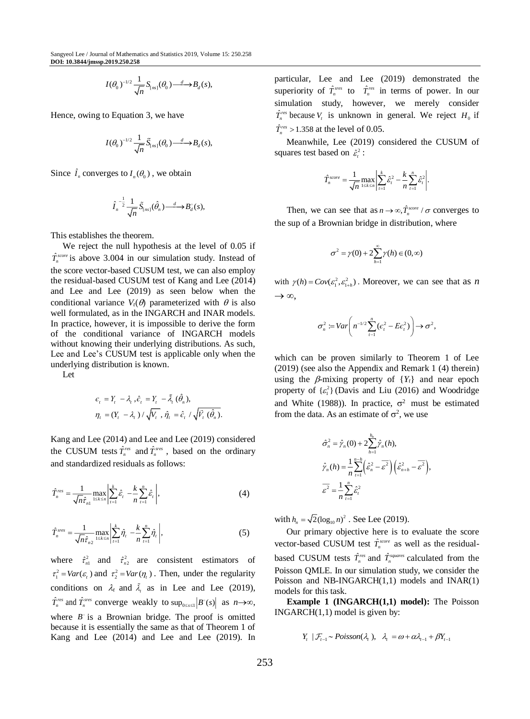$$
I(\theta_0)^{-1/2}\frac{1}{\sqrt{n}}S_{\text{[ns]}}(\theta_0)\frac{d}{\theta}B_d(s),
$$

Hence, owing to Equation 3, we have

$$
I(\theta_0)^{-1/2} \frac{1}{\sqrt{n}} \widetilde{S}_{\lfloor ns \rfloor}(\theta_0) \stackrel{d}{\longrightarrow} B_d(s),
$$

Since  $\hat{I}_n$  converges to  $I_n(\theta_0)$ , we obtain

$$
\hat{I}_n^{-\frac{1}{2}} \frac{1}{\sqrt{n}} \tilde{S}_{\lfloor ns \rfloor}(\hat{\theta}_n) \stackrel{d}{\longrightarrow} B_d^{\circ}(s),
$$

This establishes the theorem.

We reject the null hypothesis at the level of 0.05 if  $\hat{T}_n^{score}$  is above 3.004 in our simulation study. Instead of the score vector-based CUSUM test, we can also employ the residual-based CUSUM test of Kang and Lee (2014) and Lee and Lee (2019) as seen below when the conditional variance  $V_t(\theta)$  parameterized with  $\theta$  is also well formulated, as in the INGARCH and INAR models. In practice, however, it is impossible to derive the form of the conditional variance of INGARCH models without knowing their underlying distributions. As such, Lee and Lee's CUSUM test is applicable only when the underlying distribution is known.

Let

$$
\begin{aligned} \epsilon_{t} &= Y_{t} - \lambda_{t}, \hat{\epsilon}_{t} = Y_{t} - \tilde{\lambda}_{t} \left( \hat{\theta}_{n} \right), \\ \eta_{t} &= (Y_{t} - \lambda_{t}) / \sqrt{V_{t}}, \, \hat{\eta}_{t} = \hat{\epsilon}_{t} / \sqrt{\tilde{V}_{t} \left( \hat{\theta}_{n} \right)}. \end{aligned}
$$

Kang and Lee (2014) and Lee and Lee (2019) considered the CUSUM tests  $\hat{T}_n^{\text{res}}$  and  $\hat{T}_n^{\text{sres}}$ , based on the ordinary and standardized residuals as follows:

$$
\hat{T}_n^{res} = \frac{1}{\sqrt{n}\hat{\tau}_{n1}} \max_{1 \le k \le n} \left| \sum_{t=1}^k \hat{\varepsilon}_t - \frac{k}{n} \sum_{t=1}^n \hat{\varepsilon}_t \right|, \tag{4}
$$

$$
\hat{T}_n^{sres} = \frac{1}{\sqrt{n}\hat{\tau}_{n2}} \max_{1 \le k \le n} \left| \sum_{i=1}^k \hat{\eta}_i - \frac{k}{n} \sum_{i=1}^n \hat{\eta}_i \right|,
$$
(5)

where  $\hat{\tau}_{n}^2$  and  $\hat{\tau}_{n}^2$  are consistent estimators of  $\tau_1^2 = Var(\varepsilon_t)$  and  $\tau_2^2 = Var(\eta_t)$ . Then, under the regularity conditions on  $\lambda_t$  and  $\tilde{\lambda}_t$  as in Lee and Lee (2019),  $\hat{T}_n^{res}$  and  $\hat{T}_n^{sres}$  converge weakly to  $\sup_{0 \le s \le 1} |B^{\circ}(s)|$  as  $n \rightarrow \infty$ , where  $B^{\circ}$  is a Brownian bridge. The proof is omitted because it is essentially the same as that of Theorem 1 of Kang and Lee (2014) and Lee and Lee (2019). In

particular, Lee and Lee (2019) demonstrated the superiority of  $\hat{T}^{sres}_n$  to  $\hat{T}^{res}_n$  in terms of power. In our simulation study, however, we merely consider  $\hat{T}_n^{\text{res}}$  because  $V_t$  is unknown in general. We reject  $H_0$  if  $\hat{T}_n^{\text{res}} > 1.358$  at the level of 0.05.

Meanwhile, Lee (2019) considered the CUSUM of squares test based on  $\hat{\varepsilon}_t^2$ :

$$
\hat{T}_n^{score} = \frac{1}{\sqrt{n}} \max_{1 \leq k \leq n} \left| \sum_{t=1}^k \hat{\varepsilon}_t^2 - \frac{k}{n} \sum_{t=1}^n \hat{\varepsilon}_t^2 \right|.
$$

Then, we can see that as  $n \rightarrow \infty$ ,  $\hat{T}_n^{score} / \sigma$  converges to the sup of a Brownian bridge in distribution, where

$$
\sigma^2 = \gamma(0) + 2\sum_{h=1}^{\infty} \gamma(h) \in (0, \infty)
$$

with  $\gamma(h) = Cov(\varepsilon_1^2, \varepsilon_{1+h}^2)$ . Moreover, we can see that as *n*  $\rightarrow \infty$ .

$$
\sigma_n^2 := \text{Var}\bigg(n^{-1/2}\sum_{t=1}^n(\epsilon_t^2 - E\epsilon_t^2)\bigg) \to \sigma^2,
$$

which can be proven similarly to Theorem 1 of Lee (2019) (see also the Appendix and Remark 1 (4) therein) using the  $\beta$ -mixing property of  $\{Y_t\}$  and near epoch property of  $\{ \varepsilon_1^2 \}$  (Davis and Liu (2016) and Woodridge and White (1988)). In practice,  $\sigma^2$  must be estimated from the data. As an estimate of  $\sigma^2$ , we use

$$
\hat{\sigma}_n^2 = \hat{\gamma}_n(0) + 2 \sum_{h=1}^{h_n} \hat{\gamma}_n(h),
$$
  

$$
\hat{\gamma}_n(h) = \frac{1}{n} \sum_{t=1}^{n-h} \left(\hat{\varepsilon}_n^2 - \overline{\varepsilon}^2\right) \left(\hat{\varepsilon}_{n+h}^2 - \overline{\varepsilon}^2\right),
$$
  

$$
\overline{\varepsilon}^2 = \frac{1}{n} \sum_{t=1}^n \hat{\varepsilon}_t^2
$$

with  $h_n = \sqrt{2} (\log_{10} n)^2$ . See Lee (2019).

Our primary objective here is to evaluate the score vector-based CUSUM test  $\hat{T}^{score}_{n}$  as well as the residualbased CUSUM tests  $\hat{T}_n^{\text{res}}$  and  $\hat{T}_n^{\text{square}}$  calculated from the Poisson QMLE. In our simulation study, we consider the Poisson and NB-INGARCH(1,1) models and INAR(1) models for this task.

**Example 1 (INGARCH(1,1) model):** The Poisson  $INGARCH(1,1)$  model is given by:

$$
Y_t
$$
 |  $\mathcal{F}_{t-1} \sim Poisson(\lambda_t)$ ,  $\lambda_t = \omega + \alpha \lambda_{t-1} + \beta Y_{t-1}$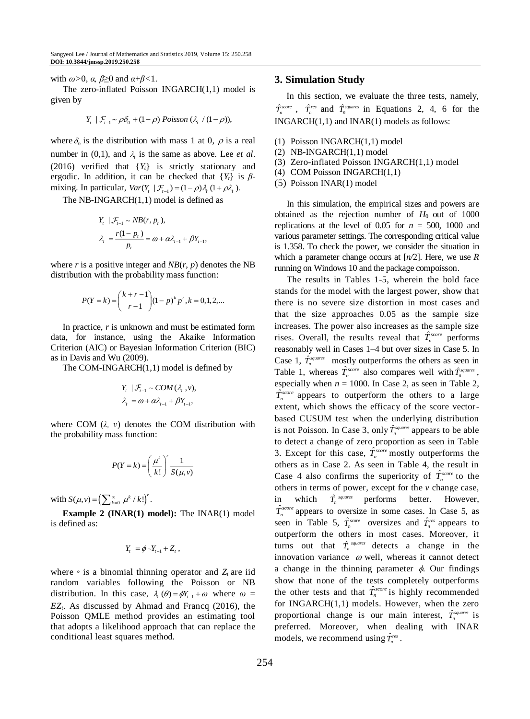with *ω>*0, *α, β*≥0 and *α*+*β<*1.

The zero-inflated Poisson INGARCH(1,1) model is given by

$$
Y_{t} | \mathcal{F}_{t-1} \sim \rho \delta_0 + (1-\rho) Poisson (\lambda_{t} / (1-\rho)),
$$

where  $\delta_0$  is the distribution with mass 1 at 0,  $\rho$  is a real number in (0,1), and  $\lambda_t$  is the same as above. Lee *et al*. (2016) verified that {*Yt*} is strictly stationary and ergodic. In addition, it can be checked that  ${Y_t}$  is  $\beta$ mixing. In particular,  $Var(Y_t | \mathcal{F}_{t-1}) = (1 - \rho)\lambda_t (1 + \rho \lambda_t)$ .

The NB-INGARCH(1,1) model is defined as

$$
Y_{t} | \mathcal{F}_{t-1} \sim NB(r, p_{t}),
$$
  
\n
$$
\lambda_{t} = \frac{r(1-p_{t})}{p_{t}} = \omega + \alpha \lambda_{t-1} + \beta Y_{t-1},
$$

where  $r$  is a positive integer and  $NB(r, p)$  denotes the NB distribution with the probability mass function:

$$
P(Y = k) = {k + r - 1 \choose r - 1} (1 - p)^k p^r, k = 0, 1, 2, ...
$$

In practice, *r* is unknown and must be estimated form data, for instance, using the Akaike Information Criterion (AIC) or Bayesian Information Criterion (BIC) as in Davis and Wu (2009).

The COM-INGARCH(1,1) model is defined by

$$
Y_{t} | \mathcal{F}_{t-1} \sim COM(\lambda_{t}, v),
$$
  

$$
\lambda_{t} = \omega + \alpha \lambda_{t-1} + \beta Y_{t-1},
$$

where COM (*λ, ν*) denotes the COM distribution with the probability mass function:

$$
P(Y = k) = \left(\frac{\mu^k}{k!}\right)^r \frac{1}{S(\mu, v)}
$$

with  $S(\mu, v) = \left(\sum_{k=0}^{\infty} \mu^k / k!\right)^v$ .

**Example 2 (INAR(1) model):** The INAR(1) model is defined as:

$$
Y_t = \phi \circ Y_{t-1} + Z_t,
$$

where  $\circ$  is a binomial thinning operator and  $Z_t$  are iid random variables following the Poisson or NB distribution. In this case,  $\lambda_t(\theta) = \phi Y_{t-1} + \omega$  where  $\omega =$ *EZt*. As discussed by Ahmad and Francq (2016), the Poisson QMLE method provides an estimating tool that adopts a likelihood approach that can replace the conditional least squares method.

#### **3. Simulation Study**

In this section, we evaluate the three tests, namely,  $\hat{T}_n^{score}$ ,  $\hat{T}_n^{reg}$  and  $\hat{T}_n^{squares}$  in Equations 2, 4, 6 for the INGARCH(1,1) and INAR(1) models as follows:

- (1) Poisson INGARCH(1,1) model
- (2) NB-INGARCH(1,1) model
- (3) Zero-inflated Poisson INGARCH(1,1) model
- (4) COM Poisson INGARCH(1,1)
- (5) Poisson INAR(1) model

In this simulation, the empirical sizes and powers are obtained as the rejection number of  $H_0$  out of 1000 replications at the level of 0.05 for  $n = 500$ , 1000 and various parameter settings. The corresponding critical value is 1.358. To check the power, we consider the situation in which a parameter change occurs at [*n/*2]. Here, we use *R* running on Windows 10 and the package compoisson.

The results in Tables 1-5, wherein the bold face stands for the model with the largest power, show that there is no severe size distortion in most cases and that the size approaches 0.05 as the sample size increases. The power also increases as the sample size rises. Overall, the results reveal that  $\hat{T}_n^{score}$  performs reasonably well in Cases 1–4 but over sizes in Case 5. In Case 1,  $\hat{T}_n^{square}$  mostly outperforms the others as seen in Table 1, whereas  $\hat{T}_n^{score}$  also compares well with  $\hat{T}_n^{square}$ , especially when  $n = 1000$ . In Case 2, as seen in Table 2, ˆ $T_n^{score}$  appears to outperform the others to a large extent, which shows the efficacy of the score vectorbased CUSUM test when the underlying distribution is not Poisson. In Case 3, only  $\hat{T}_n^{\text{squares}}$  appears to be able to detect a change of zero proportion as seen in Table 3. Except for this case,  $\hat{T}_n^{score}$  mostly outperforms the others as in Case 2. As seen in Table 4, the result in Case 4 also confirms the superiority of  $\hat{T}_n^{score}$  to the others in terms of power, except for the *v* change case, in which  $\hat{T}_n^{\text{ squares}}$  performs better. However,  $\hat{T}_n^{score}$  appears to oversize in some cases. In Case 5, as seen in Table 5,  $\hat{T}_n^{score}$  oversizes and  $\hat{T}_n^{res}$  appears to outperform the others in most cases. Moreover, it turns out that  $\hat{T}_n^{square}$  detects a change in the innovation variance  $\omega$  well, whereas it cannot detect a change in the thinning parameter  $\phi$ . Our findings show that none of the tests completely outperforms the other tests and that  $\hat{T}_n^{score}$  is highly recommended for INGARCH(1,1) models. However, when the zero proportional change is our main interest,  $\hat{T}_n^{square}$  is preferred. Moreover, when dealing with INAR models, we recommend using  $\hat{T}_n^{res}$ .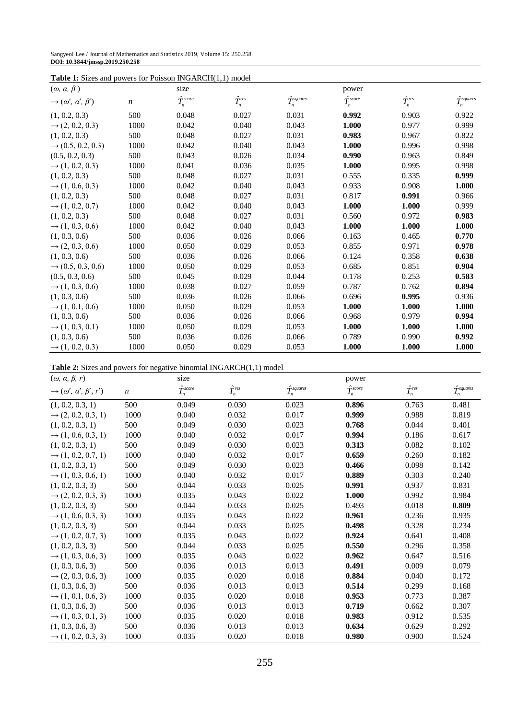| Sangyeol Lee / Journal of Mathematics and Statistics 2019, Volume 15: 250.258 |  |
|-------------------------------------------------------------------------------|--|
| DOI: 10.3844/jmssp.2019.250.258                                               |  |

| <b>Table 1:</b> Sizes and powers for Poisson INGARCH(1,1) model |       |                     |                   |                         |                     |                   |                       |
|-----------------------------------------------------------------|-------|---------------------|-------------------|-------------------------|---------------------|-------------------|-----------------------|
| $(\omega, \alpha, \beta)$                                       |       | size                |                   |                         | power               |                   |                       |
| $\rightarrow$ $(\omega', \alpha', \beta')$                      | $\,n$ | $\hat{T}^{score}_n$ | $\hat{T}^{res}_n$ | $\hat{T}^{squares}_{n}$ | $\hat{T}^{score}_n$ | $\hat{T}^{res}_n$ | $\hat{T}_n^{squares}$ |
| (1, 0.2, 0.3)                                                   | 500   | 0.048               | 0.027             | 0.031                   | 0.992               | 0.903             | 0.922                 |
| $\rightarrow$ (2, 0.2, 0.3)                                     | 1000  | 0.042               | 0.040             | 0.043                   | 1.000               | 0.977             | 0.999                 |
| (1, 0.2, 0.3)                                                   | 500   | 0.048               | 0.027             | 0.031                   | 0.983               | 0.967             | 0.822                 |
| $\rightarrow$ (0.5, 0.2, 0.3)                                   | 1000  | 0.042               | 0.040             | 0.043                   | 1.000               | 0.996             | 0.998                 |
| (0.5, 0.2, 0.3)                                                 | 500   | 0.043               | 0.026             | 0.034                   | 0.990               | 0.963             | 0.849                 |
| $\rightarrow$ (1, 0.2, 0.3)                                     | 1000  | 0.041               | 0.036             | 0.035                   | 1.000               | 0.995             | 0.998                 |
| (1, 0.2, 0.3)                                                   | 500   | 0.048               | 0.027             | 0.031                   | 0.555               | 0.335             | 0.999                 |
| $\rightarrow$ (1, 0.6, 0.3)                                     | 1000  | 0.042               | 0.040             | 0.043                   | 0.933               | 0.908             | 1.000                 |
| (1, 0.2, 0.3)                                                   | 500   | 0.048               | 0.027             | 0.031                   | 0.817               | 0.991             | 0.966                 |
| $\rightarrow$ (1, 0.2, 0.7)                                     | 1000  | 0.042               | 0.040             | 0.043                   | 1.000               | 1.000             | 0.999                 |
| (1, 0.2, 0.3)                                                   | 500   | 0.048               | 0.027             | 0.031                   | 0.560               | 0.972             | 0.983                 |
| $\rightarrow$ (1, 0.3, 0.6)                                     | 1000  | 0.042               | 0.040             | 0.043                   | 1.000               | 1.000             | 1.000                 |
| (1, 0.3, 0.6)                                                   | 500   | 0.036               | 0.026             | 0.066                   | 0.163               | 0.465             | 0.770                 |
| $\rightarrow$ (2, 0.3, 0.6)                                     | 1000  | 0.050               | 0.029             | 0.053                   | 0.855               | 0.971             | 0.978                 |
| (1, 0.3, 0.6)                                                   | 500   | 0.036               | 0.026             | 0.066                   | 0.124               | 0.358             | 0.638                 |
| $\rightarrow$ (0.5, 0.3, 0.6)                                   | 1000  | 0.050               | 0.029             | 0.053                   | 0.685               | 0.851             | 0.904                 |
| (0.5, 0.3, 0.6)                                                 | 500   | 0.045               | 0.029             | 0.044                   | 0.178               | 0.253             | 0.583                 |
| $\rightarrow$ (1, 0.3, 0.6)                                     | 1000  | 0.038               | 0.027             | 0.059                   | 0.787               | 0.762             | 0.894                 |
| (1, 0.3, 0.6)                                                   | 500   | 0.036               | 0.026             | 0.066                   | 0.696               | 0.995             | 0.936                 |
| $\rightarrow$ (1, 0.1, 0.6)                                     | 1000  | 0.050               | 0.029             | 0.053                   | 1.000               | 1.000             | 1.000                 |
| (1, 0.3, 0.6)                                                   | 500   | 0.036               | 0.026             | 0.066                   | 0.968               | 0.979             | 0.994                 |
| $\rightarrow$ (1, 0.3, 0.1)                                     | 1000  | 0.050               | 0.029             | 0.053                   | 1.000               | 1.000             | 1.000                 |
| (1, 0.3, 0.6)                                                   | 500   | 0.036               | 0.026             | 0.066                   | 0.789               | 0.990             | 0.992                 |
| $\rightarrow$ (1, 0.2, 0.3)                                     | 1000  | 0.050               | 0.029             | 0.053                   | 1.000               | 1.000             | 1.000                 |

| <b>Table 1:</b> Sizes and powers for Poisson INGARCH(1,1) model |  |  |  |
|-----------------------------------------------------------------|--|--|--|
|-----------------------------------------------------------------|--|--|--|

|  |  | Table 2: Sizes and powers for negative binomial INGARCH(1,1) model |  |
|--|--|--------------------------------------------------------------------|--|
|--|--|--------------------------------------------------------------------|--|

| $(\omega, \alpha, \beta, r)$                   |                  | size                |                   |                         | power               |                   |                         |
|------------------------------------------------|------------------|---------------------|-------------------|-------------------------|---------------------|-------------------|-------------------------|
| $\rightarrow$ $(\omega', \alpha', \beta', r')$ | $\boldsymbol{n}$ | $\hat{T}^{score}_n$ | $\hat{T}^{res}_n$ | $\hat{T}^{squares}_{n}$ | $\hat{T}^{score}_n$ | $\hat{T}^{res}_n$ | $\hat{T}^{squares}_{n}$ |
| (1, 0.2, 0.3, 1)                               | 500              | 0.049               | 0.030             | 0.023                   | 0.896               | 0.763             | 0.481                   |
| $\rightarrow$ (2, 0.2, 0.3, 1)                 | 1000             | 0.040               | 0.032             | 0.017                   | 0.999               | 0.988             | 0.819                   |
| (1, 0.2, 0.3, 1)                               | 500              | 0.049               | 0.030             | 0.023                   | 0.768               | 0.044             | 0.401                   |
| $\rightarrow$ (1, 0.6, 0.3, 1)                 | 1000             | 0.040               | 0.032             | 0.017                   | 0.994               | 0.186             | 0.617                   |
| (1, 0.2, 0.3, 1)                               | 500              | 0.049               | 0.030             | 0.023                   | 0.313               | 0.082             | 0.102                   |
| $\rightarrow$ (1, 0.2, 0.7, 1)                 | 1000             | 0.040               | 0.032             | 0.017                   | 0.659               | 0.260             | 0.182                   |
| (1, 0.2, 0.3, 1)                               | 500              | 0.049               | 0.030             | 0.023                   | 0.466               | 0.098             | 0.142                   |
| $\rightarrow$ (1, 0.3, 0.6, 1)                 | 1000             | 0.040               | 0.032             | 0.017                   | 0.889               | 0.303             | 0.240                   |
| (1, 0.2, 0.3, 3)                               | 500              | 0.044               | 0.033             | 0.025                   | 0.991               | 0.937             | 0.831                   |
| $\rightarrow$ (2, 0.2, 0.3, 3)                 | 1000             | 0.035               | 0.043             | 0.022                   | 1.000               | 0.992             | 0.984                   |
| (1, 0.2, 0.3, 3)                               | 500              | 0.044               | 0.033             | 0.025                   | 0.493               | 0.018             | 0.809                   |
| $\rightarrow$ (1, 0.6, 0.3, 3)                 | 1000             | 0.035               | 0.043             | 0.022                   | 0.961               | 0.236             | 0.935                   |
| (1, 0.2, 0.3, 3)                               | 500              | 0.044               | 0.033             | 0.025                   | 0.498               | 0.328             | 0.234                   |
| $\rightarrow$ (1, 0.2, 0.7, 3)                 | 1000             | 0.035               | 0.043             | 0.022                   | 0.924               | 0.641             | 0.408                   |
| (1, 0.2, 0.3, 3)                               | 500              | 0.044               | 0.033             | 0.025                   | 0.550               | 0.296             | 0.358                   |
| $\rightarrow$ (1, 0.3, 0.6, 3)                 | 1000             | 0.035               | 0.043             | 0.022                   | 0.962               | 0.647             | 0.516                   |
| (1, 0.3, 0.6, 3)                               | 500              | 0.036               | 0.013             | 0.013                   | 0.491               | 0.009             | 0.079                   |
| $\rightarrow$ (2, 0.3, 0.6, 3)                 | 1000             | 0.035               | 0.020             | 0.018                   | 0.884               | 0.040             | 0.172                   |
| (1, 0.3, 0.6, 3)                               | 500              | 0.036               | 0.013             | 0.013                   | 0.514               | 0.299             | 0.168                   |
| $\rightarrow$ (1, 0.1, 0.6, 3)                 | 1000             | 0.035               | 0.020             | 0.018                   | 0.953               | 0.773             | 0.387                   |
| (1, 0.3, 0.6, 3)                               | 500              | 0.036               | 0.013             | 0.013                   | 0.719               | 0.662             | 0.307                   |
| $\rightarrow$ (1, 0.3, 0.1, 3)                 | 1000             | 0.035               | 0.020             | 0.018                   | 0.983               | 0.912             | 0.535                   |
| (1, 0.3, 0.6, 3)                               | 500              | 0.036               | 0.013             | 0.013                   | 0.634               | 0.629             | 0.292                   |
| $\rightarrow$ (1, 0.2, 0.3, 3)                 | 1000             | 0.035               | 0.020             | 0.018                   | 0.980               | 0.900             | 0.524                   |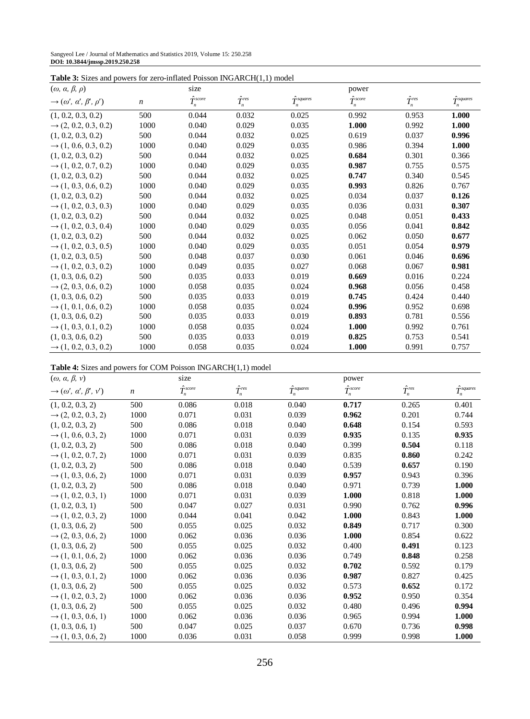| Sangyeol Lee / Journal of Mathematics and Statistics 2019, Volume 15: 250.258 |  |
|-------------------------------------------------------------------------------|--|
| DOI: 10.3844/jmssp.2019.250.258                                               |  |

| <b>Table 3:</b> Sizes and powers for zero-inflated Poisson INGARCH $(1,1)$ model |  |
|----------------------------------------------------------------------------------|--|
|----------------------------------------------------------------------------------|--|

| $\cdots$<br>$(\omega, \alpha, \beta, \rho)$       | $P0$ , which is the set of interface $\mathbf{r}$ | size                  |                   |                         | power                 |                   |                         |
|---------------------------------------------------|---------------------------------------------------|-----------------------|-------------------|-------------------------|-----------------------|-------------------|-------------------------|
| $\rightarrow$ $(\omega', \alpha', \beta', \rho')$ | $\boldsymbol{n}$                                  | $\hat{T}_{n}^{score}$ | $\hat{T}^{res}_n$ | $\hat{T}^{squares}_{n}$ | $\hat{T}_{n}^{score}$ | $\hat{T}^{res}_n$ | $\hat{T}^{squares}_{n}$ |
| (1, 0.2, 0.3, 0.2)                                | 500                                               | 0.044                 | 0.032             | 0.025                   | 0.992                 | 0.953             | 1.000                   |
| $\rightarrow$ (2, 0.2, 0.3, 0.2)                  | 1000                                              | 0.040                 | 0.029             | 0.035                   | 1.000                 | 0.992             | 1.000                   |
| (1, 0.2, 0.3, 0.2)                                | 500                                               | 0.044                 | 0.032             | 0.025                   | 0.619                 | 0.037             | 0.996                   |
| $\rightarrow$ (1, 0.6, 0.3, 0.2)                  | 1000                                              | 0.040                 | 0.029             | 0.035                   | 0.986                 | 0.394             | 1.000                   |
| (1, 0.2, 0.3, 0.2)                                | 500                                               | 0.044                 | 0.032             | 0.025                   | 0.684                 | 0.301             | 0.366                   |
| $\rightarrow$ (1, 0.2, 0.7, 0.2)                  | 1000                                              | 0.040                 | 0.029             | 0.035                   | 0.987                 | 0.755             | 0.575                   |
| (1, 0.2, 0.3, 0.2)                                | 500                                               | 0.044                 | 0.032             | 0.025                   | 0.747                 | 0.340             | 0.545                   |
| $\rightarrow$ (1, 0.3, 0.6, 0.2)                  | 1000                                              | 0.040                 | 0.029             | 0.035                   | 0.993                 | 0.826             | 0.767                   |
| (1, 0.2, 0.3, 0.2)                                | 500                                               | 0.044                 | 0.032             | 0.025                   | 0.034                 | 0.037             | 0.126                   |
| $\rightarrow$ (1, 0.2, 0.3, 0.3)                  | 1000                                              | 0.040                 | 0.029             | 0.035                   | 0.036                 | 0.031             | 0.307                   |
| (1, 0.2, 0.3, 0.2)                                | 500                                               | 0.044                 | 0.032             | 0.025                   | 0.048                 | 0.051             | 0.433                   |
| $\rightarrow$ (1, 0.2, 0.3, 0.4)                  | 1000                                              | 0.040                 | 0.029             | 0.035                   | 0.056                 | 0.041             | 0.842                   |
| (1, 0.2, 0.3, 0.2)                                | 500                                               | 0.044                 | 0.032             | 0.025                   | 0.062                 | 0.050             | 0.677                   |
| $\rightarrow$ (1, 0.2, 0.3, 0.5)                  | 1000                                              | 0.040                 | 0.029             | 0.035                   | 0.051                 | 0.054             | 0.979                   |
| (1, 0.2, 0.3, 0.5)                                | 500                                               | 0.048                 | 0.037             | 0.030                   | 0.061                 | 0.046             | 0.696                   |
| $\rightarrow$ (1, 0.2, 0.3, 0.2)                  | 1000                                              | 0.049                 | 0.035             | 0.027                   | 0.068                 | 0.067             | 0.981                   |
| (1, 0.3, 0.6, 0.2)                                | 500                                               | 0.035                 | 0.033             | 0.019                   | 0.669                 | 0.016             | 0.224                   |
| $\rightarrow$ (2, 0.3, 0.6, 0.2)                  | 1000                                              | 0.058                 | 0.035             | 0.024                   | 0.968                 | 0.056             | 0.458                   |
| (1, 0.3, 0.6, 0.2)                                | 500                                               | 0.035                 | 0.033             | 0.019                   | 0.745                 | 0.424             | 0.440                   |
| $\rightarrow$ (1, 0.1, 0.6, 0.2)                  | 1000                                              | 0.058                 | 0.035             | 0.024                   | 0.996                 | 0.952             | 0.698                   |
| (1, 0.3, 0.6, 0.2)                                | 500                                               | 0.035                 | 0.033             | 0.019                   | 0.893                 | 0.781             | 0.556                   |
| $\rightarrow$ (1, 0.3, 0.1, 0.2)                  | 1000                                              | 0.058                 | 0.035             | 0.024                   | 1.000                 | 0.992             | 0.761                   |
| (1, 0.3, 0.6, 0.2)                                | 500                                               | 0.035                 | 0.033             | 0.019                   | 0.825                 | 0.753             | 0.541                   |
| $\rightarrow$ (1, 0.2, 0.3, 0.2)                  | 1000                                              | 0.058                 | 0.035             | 0.024                   | 1.000                 | 0.991             | 0.757                   |

| <b>Table 4:</b> Sizes and powers for COM Poisson INGARCH(1,1) model |  |  |  |
|---------------------------------------------------------------------|--|--|--|
|---------------------------------------------------------------------|--|--|--|

| $(\omega, \alpha, \beta, \nu)$                   |                  | size                |                   |                         | power               |                   |                       |
|--------------------------------------------------|------------------|---------------------|-------------------|-------------------------|---------------------|-------------------|-----------------------|
| $\rightarrow$ $(\omega', \alpha', \beta', \nu')$ | $\boldsymbol{n}$ | $\hat{T}^{score}_n$ | $\hat{T}^{res}_n$ | $\hat{T}^{squares}_{n}$ | $\hat{T}^{score}_n$ | $\hat{T}^{res}_n$ | $\hat{T}^{squares}_n$ |
| (1, 0.2, 0.3, 2)                                 | 500              | 0.086               | 0.018             | 0.040                   | 0.717               | 0.265             | 0.401                 |
| $\rightarrow$ (2, 0.2, 0.3, 2)                   | 1000             | 0.071               | 0.031             | 0.039                   | 0.962               | 0.201             | 0.744                 |
| (1, 0.2, 0.3, 2)                                 | 500              | 0.086               | 0.018             | 0.040                   | 0.648               | 0.154             | 0.593                 |
| $\rightarrow$ (1, 0.6, 0.3, 2)                   | 1000             | 0.071               | 0.031             | 0.039                   | 0.935               | 0.135             | 0.935                 |
| (1, 0.2, 0.3, 2)                                 | 500              | 0.086               | 0.018             | 0.040                   | 0.399               | 0.504             | 0.118                 |
| $\rightarrow$ (1, 0.2, 0.7, 2)                   | 1000             | 0.071               | 0.031             | 0.039                   | 0.835               | 0.860             | 0.242                 |
| (1, 0.2, 0.3, 2)                                 | 500              | 0.086               | 0.018             | 0.040                   | 0.539               | 0.657             | 0.190                 |
| $\rightarrow$ (1, 0.3, 0.6, 2)                   | 1000             | 0.071               | 0.031             | 0.039                   | 0.957               | 0.943             | 0.396                 |
| (1, 0.2, 0.3, 2)                                 | 500              | 0.086               | 0.018             | 0.040                   | 0.971               | 0.739             | 1.000                 |
| $\rightarrow$ (1, 0.2, 0.3, 1)                   | 1000             | 0.071               | 0.031             | 0.039                   | 1.000               | 0.818             | 1.000                 |
| (1, 0.2, 0.3, 1)                                 | 500              | 0.047               | 0.027             | 0.031                   | 0.990               | 0.762             | 0.996                 |
| $\rightarrow$ (1, 0.2, 0.3, 2)                   | 1000             | 0.044               | 0.041             | 0.042                   | 1.000               | 0.843             | 1.000                 |
| (1, 0.3, 0.6, 2)                                 | 500              | 0.055               | 0.025             | 0.032                   | 0.849               | 0.717             | 0.300                 |
| $\rightarrow$ (2, 0.3, 0.6, 2)                   | 1000             | 0.062               | 0.036             | 0.036                   | 1.000               | 0.854             | 0.622                 |
| (1, 0.3, 0.6, 2)                                 | 500              | 0.055               | 0.025             | 0.032                   | 0.400               | 0.491             | 0.123                 |
| $\rightarrow$ (1, 0.1, 0.6, 2)                   | 1000             | 0.062               | 0.036             | 0.036                   | 0.749               | 0.848             | 0.258                 |
| (1, 0.3, 0.6, 2)                                 | 500              | 0.055               | 0.025             | 0.032                   | 0.702               | 0.592             | 0.179                 |
| $\rightarrow$ (1, 0.3, 0.1, 2)                   | 1000             | 0.062               | 0.036             | 0.036                   | 0.987               | 0.827             | 0.425                 |
| (1, 0.3, 0.6, 2)                                 | 500              | 0.055               | 0.025             | 0.032                   | 0.573               | 0.652             | 0.172                 |
| $\rightarrow$ (1, 0.2, 0.3, 2)                   | 1000             | 0.062               | 0.036             | 0.036                   | 0.952               | 0.950             | 0.354                 |
| (1, 0.3, 0.6, 2)                                 | 500              | 0.055               | 0.025             | 0.032                   | 0.480               | 0.496             | 0.994                 |
| $\rightarrow$ (1, 0.3, 0.6, 1)                   | 1000             | 0.062               | 0.036             | 0.036                   | 0.965               | 0.994             | 1.000                 |
| (1, 0.3, 0.6, 1)                                 | 500              | 0.047               | 0.025             | 0.037                   | 0.670               | 0.736             | 0.998                 |
| $\rightarrow$ (1, 0.3, 0.6, 2)                   | 1000             | 0.036               | 0.031             | 0.058                   | 0.999               | 0.998             | 1.000                 |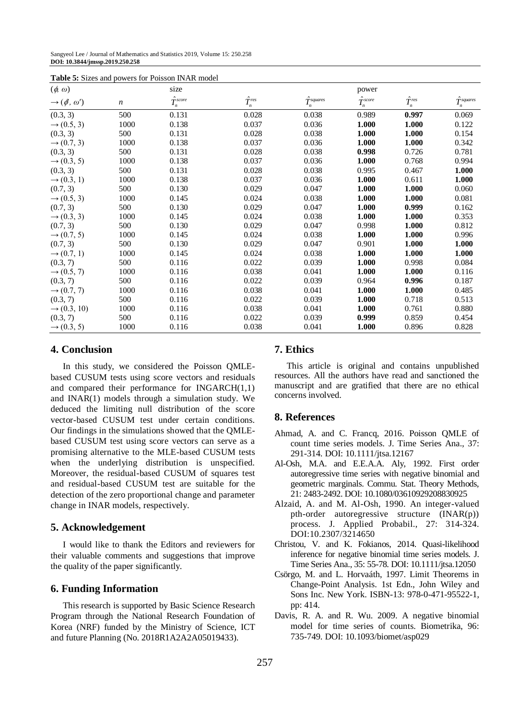Sangyeol Lee / Journal of Mathematics and Statistics 2019, Volume 15: 250.258 **DOI: 10.3844/jmssp.2019.250.258**

| $(\phi, \omega)$                     |                  | size                |                   |                       | power                 |                   |                       |
|--------------------------------------|------------------|---------------------|-------------------|-----------------------|-----------------------|-------------------|-----------------------|
| $\rightarrow$ ( $\phi$ , $\omega'$ ) | $\boldsymbol{n}$ | $\hat{T}^{score}_n$ | $\hat{T}^{res}_n$ | $\hat{T}_n^{squares}$ | $\hat{T}_{n}^{score}$ | $\hat{T}^{res}_n$ | $\hat{T}^{squares}_n$ |
| (0.3, 3)                             | 500              | 0.131               | 0.028             | 0.038                 | 0.989                 | 0.997             | 0.069                 |
| $\rightarrow$ (0.5, 3)               | 1000             | 0.138               | 0.037             | 0.036                 | 1.000                 | 1.000             | 0.122                 |
| (0.3, 3)                             | 500              | 0.131               | 0.028             | 0.038                 | 1.000                 | 1.000             | 0.154                 |
| $\rightarrow$ (0.7, 3)               | 1000             | 0.138               | 0.037             | 0.036                 | 1.000                 | 1.000             | 0.342                 |
| (0.3, 3)                             | 500              | 0.131               | 0.028             | 0.038                 | 0.998                 | 0.726             | 0.781                 |
| $\rightarrow$ (0.3, 5)               | 1000             | 0.138               | 0.037             | 0.036                 | 1.000                 | 0.768             | 0.994                 |
| (0.3, 3)                             | 500              | 0.131               | 0.028             | 0.038                 | 0.995                 | 0.467             | 1.000                 |
| $\rightarrow$ (0.3, 1)               | 1000             | 0.138               | 0.037             | 0.036                 | 1.000                 | 0.611             | 1.000                 |
| (0.7, 3)                             | 500              | 0.130               | 0.029             | 0.047                 | 1.000                 | 1.000             | 0.060                 |
| $\rightarrow$ (0.5, 3)               | 1000             | 0.145               | 0.024             | 0.038                 | 1.000                 | 1.000             | 0.081                 |
| (0.7, 3)                             | 500              | 0.130               | 0.029             | 0.047                 | 1.000                 | 0.999             | 0.162                 |
| $\rightarrow$ (0.3, 3)               | 1000             | 0.145               | 0.024             | 0.038                 | 1.000                 | 1.000             | 0.353                 |
| (0.7, 3)                             | 500              | 0.130               | 0.029             | 0.047                 | 0.998                 | 1.000             | 0.812                 |
| $\rightarrow$ (0.7, 5)               | 1000             | 0.145               | 0.024             | 0.038                 | 1.000                 | 1.000             | 0.996                 |
| (0.7, 3)                             | 500              | 0.130               | 0.029             | 0.047                 | 0.901                 | 1.000             | 1.000                 |
| $\rightarrow$ (0.7, 1)               | 1000             | 0.145               | 0.024             | 0.038                 | 1.000                 | 1.000             | 1.000                 |
| (0.3, 7)                             | 500              | 0.116               | 0.022             | 0.039                 | 1.000                 | 0.998             | 0.084                 |
| $\to (0.5, 7)$                       | 1000             | 0.116               | 0.038             | 0.041                 | 1.000                 | 1.000             | 0.116                 |
| (0.3, 7)                             | 500              | 0.116               | 0.022             | 0.039                 | 0.964                 | 0.996             | 0.187                 |
| $\rightarrow$ (0.7, 7)               | 1000             | 0.116               | 0.038             | 0.041                 | 1.000                 | 1.000             | 0.485                 |
| (0.3, 7)                             | 500              | 0.116               | 0.022             | 0.039                 | 1.000                 | 0.718             | 0.513                 |
| $\rightarrow$ (0.3, 10)              | 1000             | 0.116               | 0.038             | 0.041                 | 1.000                 | 0.761             | 0.880                 |
| (0.3, 7)                             | 500              | 0.116               | 0.022             | 0.039                 | 0.999                 | 0.859             | 0.454                 |
| $\rightarrow$ (0.3, 5)               | 1000             | 0.116               | 0.038             | 0.041                 | 1.000                 | 0.896             | 0.828                 |

**Table 5:** Sizes and powers for Poisson INAR model

#### **4. Conclusion**

In this study, we considered the Poisson QMLEbased CUSUM tests using score vectors and residuals and compared their performance for INGARCH(1,1) and INAR(1) models through a simulation study. We deduced the limiting null distribution of the score vector-based CUSUM test under certain conditions. Our findings in the simulations showed that the QMLEbased CUSUM test using score vectors can serve as a promising alternative to the MLE-based CUSUM tests when the underlying distribution is unspecified. Moreover, the residual-based CUSUM of squares test and residual-based CUSUM test are suitable for the detection of the zero proportional change and parameter change in INAR models, respectively.

#### **5. Acknowledgement**

I would like to thank the Editors and reviewers for their valuable comments and suggestions that improve the quality of the paper significantly.

## **6. Funding Information**

This research is supported by Basic Science Research Program through the National Research Foundation of Korea (NRF) funded by the Ministry of Science, ICT and future Planning (No. 2018R1A2A2A05019433).

### **7. Ethics**

This article is original and contains unpublished resources. All the authors have read and sanctioned the manuscript and are gratified that there are no ethical concerns involved.

# **8. References**

- Ahmad, A. and C. Francq, 2016. Poisson QMLE of count time series models. J. Time Series Ana., 37: 291-314. DOI: 10.1111/jtsa.12167
- Al-Osh, M.A. and E.E.A.A. Aly, 1992. First order autoregressive time series with negative binomial and geometric marginals. Commu. Stat. Theory Methods, 21: 2483-2492. DOI: 10.1080/03610929208830925
- Alzaid, A. and M. Al-Osh, 1990. An integer-valued pth-order autoregressive structure (INAR(p)) process. J. Applied Probabil., 27: 314-324. DOI:10.2307/3214650
- Christou, V. and K. Fokianos, 2014. Quasi-likelihood inference for negative binomial time series models. J. Time Series Ana., 35: 55-78. DOI: 10.1111/jtsa.12050
- Csörgo, M. and L. Horvaáth, 1997. Limit Theorems in Change-Point Analysis. 1st Edn., John Wiley and Sons Inc. New York. ISBN-13: 978-0-471-95522-1, pp: 414.
- Davis, R. A. and R. Wu. 2009. A negative binomial model for time series of counts. Biometrika, 96: 735-749. DOI: 10.1093/biomet/asp029